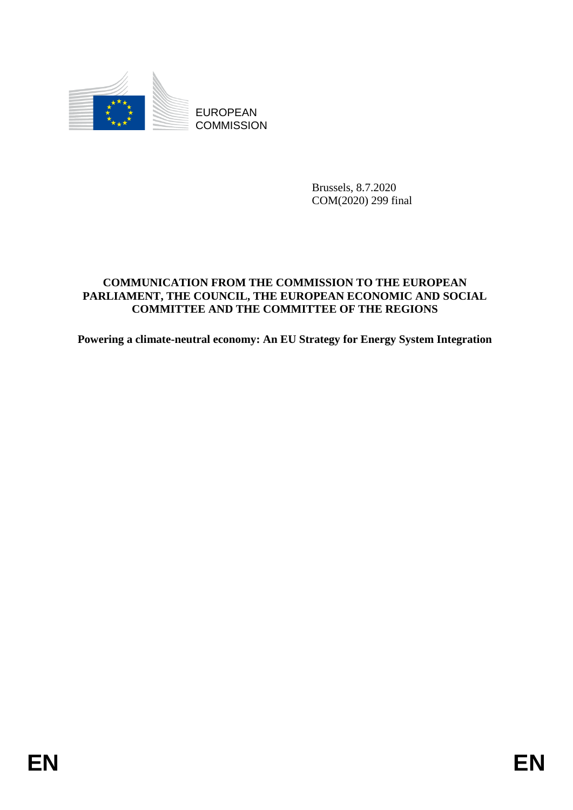

**COMMISSION** 

Brussels, 8.7.2020 COM(2020) 299 final

# **COMMUNICATION FROM THE COMMISSION TO THE EUROPEAN PARLIAMENT, THE COUNCIL, THE EUROPEAN ECONOMIC AND SOCIAL COMMITTEE AND THE COMMITTEE OF THE REGIONS**

**Powering a climate-neutral economy: An EU Strategy for Energy System Integration**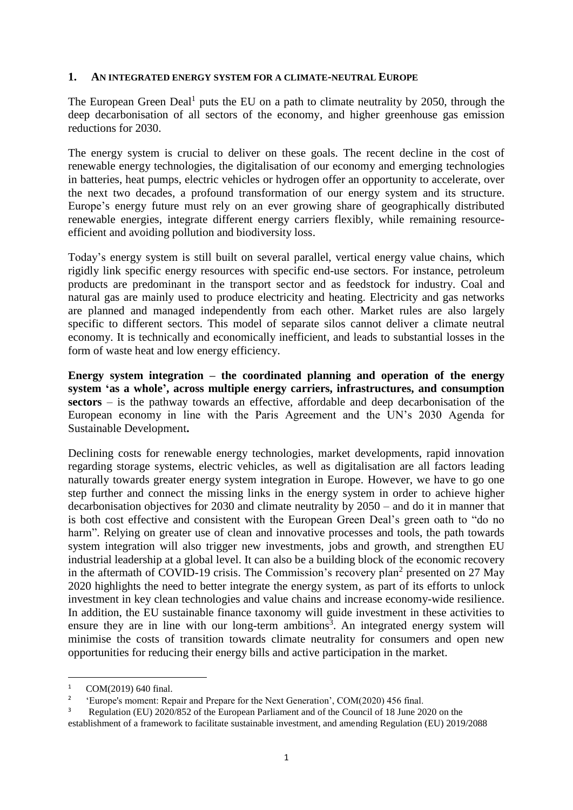#### **1. AN INTEGRATED ENERGY SYSTEM FOR A CLIMATE-NEUTRAL EUROPE**

The European Green Deal<sup>1</sup> puts the EU on a path to climate neutrality by 2050, through the deep decarbonisation of all sectors of the economy, and higher greenhouse gas emission reductions for 2030.

The energy system is crucial to deliver on these goals. The recent decline in the cost of renewable energy technologies, the digitalisation of our economy and emerging technologies in batteries, heat pumps, electric vehicles or hydrogen offer an opportunity to accelerate, over the next two decades, a profound transformation of our energy system and its structure. Europe's energy future must rely on an ever growing share of geographically distributed renewable energies, integrate different energy carriers flexibly, while remaining resourceefficient and avoiding pollution and biodiversity loss.

Today's energy system is still built on several parallel, vertical energy value chains, which rigidly link specific energy resources with specific end-use sectors. For instance, petroleum products are predominant in the transport sector and as feedstock for industry. Coal and natural gas are mainly used to produce electricity and heating. Electricity and gas networks are planned and managed independently from each other. Market rules are also largely specific to different sectors. This model of separate silos cannot deliver a climate neutral economy. It is technically and economically inefficient, and leads to substantial losses in the form of waste heat and low energy efficiency.

**Energy system integration – the coordinated planning and operation of the energy system 'as a whole', across multiple energy carriers, infrastructures, and consumption sectors** – is the pathway towards an effective, affordable and deep decarbonisation of the European economy in line with the Paris Agreement and the UN's 2030 Agenda for Sustainable Development**.**

Declining costs for renewable energy technologies, market developments, rapid innovation regarding storage systems, electric vehicles, as well as digitalisation are all factors leading naturally towards greater energy system integration in Europe. However, we have to go one step further and connect the missing links in the energy system in order to achieve higher decarbonisation objectives for 2030 and climate neutrality by 2050 – and do it in manner that is both cost effective and consistent with the European Green Deal's green oath to "do no harm". Relying on greater use of clean and innovative processes and tools, the path towards system integration will also trigger new investments, jobs and growth, and strengthen EU industrial leadership at a global level. It can also be a building block of the economic recovery in the aftermath of COVID-19 crisis. The Commission's recovery plan<sup>2</sup> presented on 27 May 2020 highlights the need to better integrate the energy system, as part of its efforts to unlock investment in key clean technologies and value chains and increase economy-wide resilience. In addition, the EU sustainable finance taxonomy will guide investment in these activities to ensure they are in line with our long-term ambitions<sup>3</sup>. An integrated energy system will minimise the costs of transition towards climate neutrality for consumers and open new opportunities for reducing their energy bills and active participation in the market.

<sup>1</sup> COM(2019) 640 final.

<sup>2</sup> 'Europe's moment: Repair and Prepare for the Next Generation', COM(2020) 456 final.

<sup>3</sup> Regulation (EU) 2020/852 of the European Parliament and of the Council of 18 June 2020 on the establishment of a framework to facilitate sustainable investment, and amending Regulation (EU) 2019/2088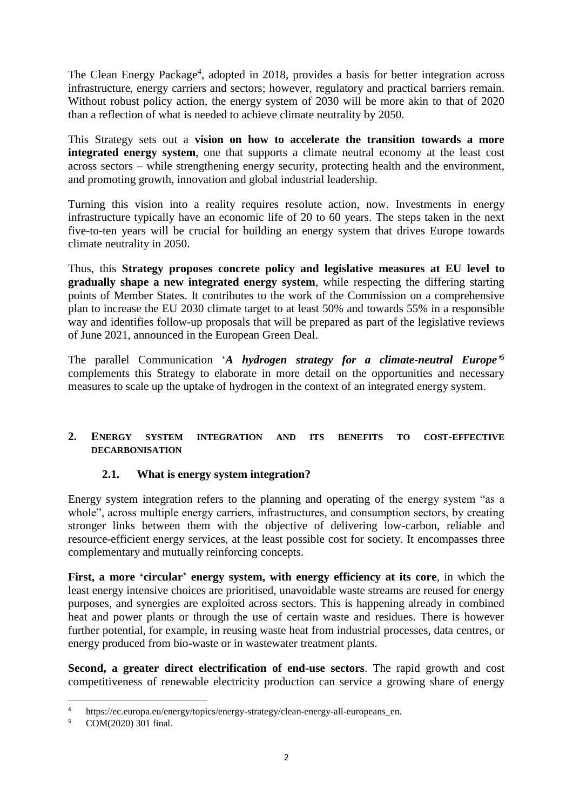The Clean Energy Package<sup>4</sup>, adopted in 2018, provides a basis for better integration across infrastructure, energy carriers and sectors; however, regulatory and practical barriers remain. Without robust policy action, the energy system of 2030 will be more akin to that of 2020 than a reflection of what is needed to achieve climate neutrality by 2050.

This Strategy sets out a **vision on how to accelerate the transition towards a more integrated energy system**, one that supports a climate neutral economy at the least cost across sectors – while strengthening energy security, protecting health and the environment, and promoting growth, innovation and global industrial leadership.

Turning this vision into a reality requires resolute action, now. Investments in energy infrastructure typically have an economic life of 20 to 60 years. The steps taken in the next five-to-ten years will be crucial for building an energy system that drives Europe towards climate neutrality in 2050.

Thus, this **Strategy proposes concrete policy and legislative measures at EU level to gradually shape a new integrated energy system**, while respecting the differing starting points of Member States. It contributes to the work of the Commission on a comprehensive plan to increase the EU 2030 climate target to at least 50% and towards 55% in a responsible way and identifies follow-up proposals that will be prepared as part of the legislative reviews of June 2021, announced in the European Green Deal.

The parallel Communication '*A hydrogen strategy for a climate-neutral Europe' 5* complements this Strategy to elaborate in more detail on the opportunities and necessary measures to scale up the uptake of hydrogen in the context of an integrated energy system.

### **2. ENERGY SYSTEM INTEGRATION AND ITS BENEFITS TO COST-EFFECTIVE DECARBONISATION**

### **2.1. What is energy system integration?**

Energy system integration refers to the planning and operating of the energy system "as a whole", across multiple energy carriers, infrastructures, and consumption sectors, by creating stronger links between them with the objective of delivering low-carbon, reliable and resource-efficient energy services, at the least possible cost for society. It encompasses three complementary and mutually reinforcing concepts.

**First, a more 'circular' energy system, with energy efficiency at its core**, in which the least energy intensive choices are prioritised, unavoidable waste streams are reused for energy purposes, and synergies are exploited across sectors. This is happening already in combined heat and power plants or through the use of certain waste and residues. There is however further potential, for example, in reusing waste heat from industrial processes, data centres, or energy produced from bio-waste or in wastewater treatment plants.

**Second, a greater direct electrification of end-use sectors**. The rapid growth and cost competitiveness of renewable electricity production can service a growing share of energy

<sup>&</sup>lt;sup>4</sup> https://ec.europa.eu/energy/topics/energy-strategy/clean-energy-all-europeans\_en.<br>5 COM(2020) 301 final

COM(2020) 301 final.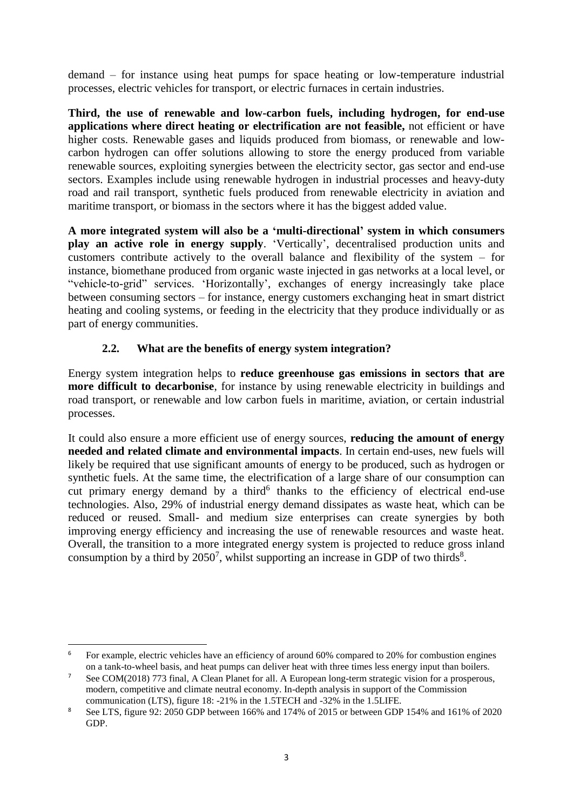demand – for instance using heat pumps for space heating or low-temperature industrial processes, electric vehicles for transport, or electric furnaces in certain industries.

**Third, the use of renewable and low-carbon fuels, including hydrogen, for end-use applications where direct heating or electrification are not feasible,** not efficient or have higher costs. Renewable gases and liquids produced from biomass, or renewable and lowcarbon hydrogen can offer solutions allowing to store the energy produced from variable renewable sources, exploiting synergies between the electricity sector, gas sector and end-use sectors. Examples include using renewable hydrogen in industrial processes and heavy-duty road and rail transport, synthetic fuels produced from renewable electricity in aviation and maritime transport, or biomass in the sectors where it has the biggest added value.

**A more integrated system will also be a 'multi-directional' system in which consumers play an active role in energy supply**. 'Vertically', decentralised production units and customers contribute actively to the overall balance and flexibility of the system – for instance, biomethane produced from organic waste injected in gas networks at a local level, or "vehicle-to-grid" services. 'Horizontally', exchanges of energy increasingly take place between consuming sectors – for instance, energy customers exchanging heat in smart district heating and cooling systems, or feeding in the electricity that they produce individually or as part of energy communities.

# **2.2. What are the benefits of energy system integration?**

Energy system integration helps to **reduce greenhouse gas emissions in sectors that are more difficult to decarbonise**, for instance by using renewable electricity in buildings and road transport, or renewable and low carbon fuels in maritime, aviation, or certain industrial processes.

It could also ensure a more efficient use of energy sources, **reducing the amount of energy needed and related climate and environmental impacts**. In certain end-uses, new fuels will likely be required that use significant amounts of energy to be produced, such as hydrogen or synthetic fuels. At the same time, the electrification of a large share of our consumption can cut primary energy demand by a third<sup>6</sup> thanks to the efficiency of electrical end-use technologies. Also, 29% of industrial energy demand dissipates as waste heat, which can be reduced or reused. Small- and medium size enterprises can create synergies by both improving energy efficiency and increasing the use of renewable resources and waste heat. Overall, the transition to a more integrated energy system is projected to reduce gross inland consumption by a third by  $2050^7$ , whilst supporting an increase in GDP of two thirds<sup>8</sup>.

 $\overline{\phantom{a}}$ <sup>6</sup> For example, electric vehicles have an efficiency of around 60% compared to 20% for combustion engines on a tank-to-wheel basis, and heat pumps can deliver heat with three times less energy input than boilers.

<sup>&</sup>lt;sup>7</sup> See COM(2018) 773 final, A Clean Planet for all. A European long-term strategic vision for a prosperous, modern, competitive and climate neutral economy. In-depth analysis in support of the Commission communication (LTS), figure 18: -21% in the 1.5TECH and -32% in the 1.5LIFE.

<sup>&</sup>lt;sup>8</sup> See LTS, figure 92: 2050 GDP between 166% and 174% of 2015 or between GDP 154% and 161% of 2020 GDP.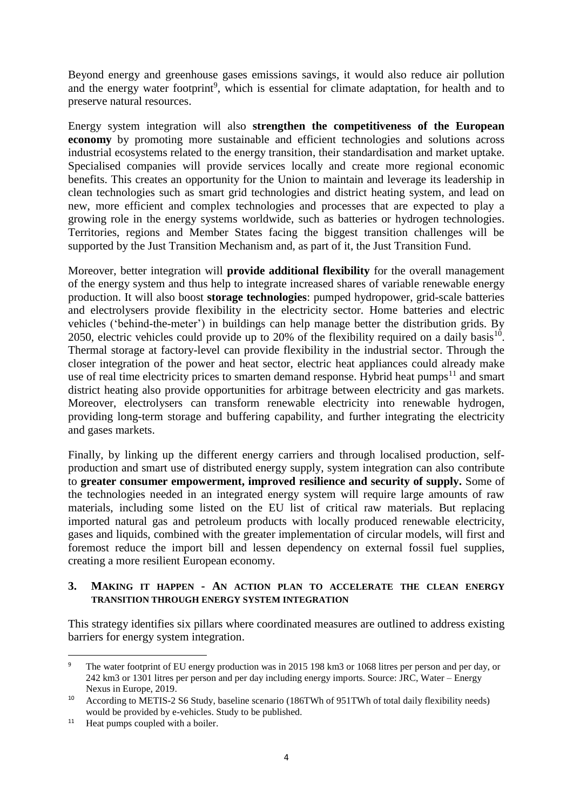Beyond energy and greenhouse gases emissions savings, it would also reduce air pollution and the energy water footprint<sup>9</sup>, which is essential for climate adaptation, for health and to preserve natural resources.

Energy system integration will also **strengthen the competitiveness of the European economy** by promoting more sustainable and efficient technologies and solutions across industrial ecosystems related to the energy transition, their standardisation and market uptake. Specialised companies will provide services locally and create more regional economic benefits. This creates an opportunity for the Union to maintain and leverage its leadership in clean technologies such as smart grid technologies and district heating system, and lead on new, more efficient and complex technologies and processes that are expected to play a growing role in the energy systems worldwide, such as batteries or hydrogen technologies. Territories, regions and Member States facing the biggest transition challenges will be supported by the Just Transition Mechanism and, as part of it, the Just Transition Fund.

Moreover, better integration will **provide additional flexibility** for the overall management of the energy system and thus help to integrate increased shares of variable renewable energy production. It will also boost **storage technologies**: pumped hydropower, grid-scale batteries and electrolysers provide flexibility in the electricity sector. Home batteries and electric vehicles ('behind-the-meter') in buildings can help manage better the distribution grids. By 2050, electric vehicles could provide up to 20% of the flexibility required on a daily basis<sup>10</sup>. Thermal storage at factory-level can provide flexibility in the industrial sector. Through the closer integration of the power and heat sector, electric heat appliances could already make use of real time electricity prices to smarten demand response. Hybrid heat pumps<sup>11</sup> and smart district heating also provide opportunities for arbitrage between electricity and gas markets. Moreover, electrolysers can transform renewable electricity into renewable hydrogen, providing long-term storage and buffering capability, and further integrating the electricity and gases markets.

Finally, by linking up the different energy carriers and through localised production, selfproduction and smart use of distributed energy supply, system integration can also contribute to **greater consumer empowerment, improved resilience and security of supply.** Some of the technologies needed in an integrated energy system will require large amounts of raw materials, including some listed on the EU list of critical raw materials. But replacing imported natural gas and petroleum products with locally produced renewable electricity, gases and liquids, combined with the greater implementation of circular models, will first and foremost reduce the import bill and lessen dependency on external fossil fuel supplies, creating a more resilient European economy.

#### **3. MAKING IT HAPPEN - AN ACTION PLAN TO ACCELERATE THE CLEAN ENERGY TRANSITION THROUGH ENERGY SYSTEM INTEGRATION**

This strategy identifies six pillars where coordinated measures are outlined to address existing barriers for energy system integration.

1

<sup>9</sup> The water footprint of EU energy production was in 2015 198 km3 or 1068 litres per person and per day, or 242 km3 or 1301 litres per person and per day including energy imports. Source: JRC, Water – Energy Nexus in Europe, 2019.

<sup>10</sup> According to METIS-2 S6 Study, baseline scenario (186TWh of 951TWh of total daily flexibility needs) would be provided by e-vehicles. Study to be published.

<sup>&</sup>lt;sup>11</sup> Heat pumps coupled with a boiler.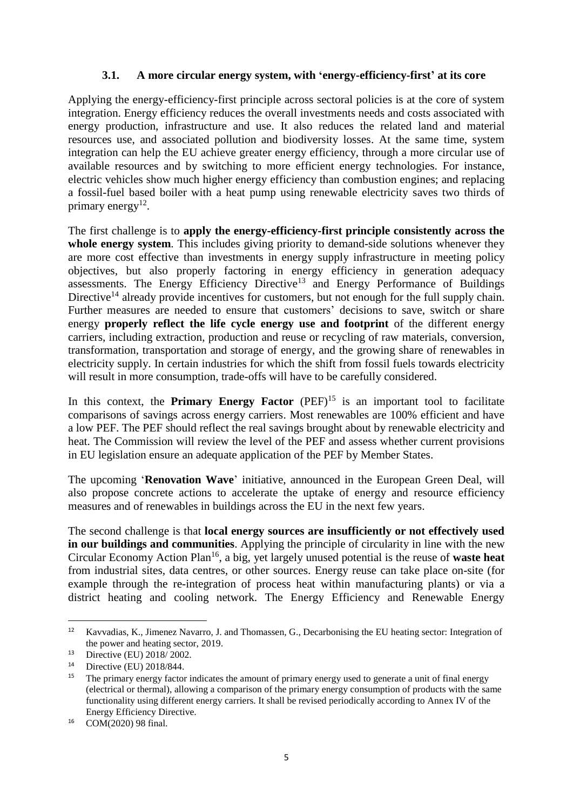### **3.1. A more circular energy system, with 'energy-efficiency-first' at its core**

Applying the energy-efficiency-first principle across sectoral policies is at the core of system integration. Energy efficiency reduces the overall investments needs and costs associated with energy production, infrastructure and use. It also reduces the related land and material resources use, and associated pollution and biodiversity losses. At the same time, system integration can help the EU achieve greater energy efficiency, through a more circular use of available resources and by switching to more efficient energy technologies. For instance, electric vehicles show much higher energy efficiency than combustion engines; and replacing a fossil-fuel based boiler with a heat pump using renewable electricity saves two thirds of primary energy $12$ .

The first challenge is to **apply the energy-efficiency-first principle consistently across the**  whole energy system. This includes giving priority to demand-side solutions whenever they are more cost effective than investments in energy supply infrastructure in meeting policy objectives, but also properly factoring in energy efficiency in generation adequacy assessments. The Energy Efficiency Directive<sup>13</sup> and Energy Performance of Buildings Directive<sup>14</sup> already provide incentives for customers, but not enough for the full supply chain. Further measures are needed to ensure that customers' decisions to save, switch or share energy **properly reflect the life cycle energy use and footprint** of the different energy carriers, including extraction, production and reuse or recycling of raw materials, conversion, transformation, transportation and storage of energy, and the growing share of renewables in electricity supply. In certain industries for which the shift from fossil fuels towards electricity will result in more consumption, trade-offs will have to be carefully considered.

In this context, the **Primary Energy Factor** (PEF)<sup>15</sup> is an important tool to facilitate comparisons of savings across energy carriers. Most renewables are 100% efficient and have a low PEF. The PEF should reflect the real savings brought about by renewable electricity and heat. The Commission will review the level of the PEF and assess whether current provisions in EU legislation ensure an adequate application of the PEF by Member States.

The upcoming '**Renovation Wave**' initiative, announced in the European Green Deal, will also propose concrete actions to accelerate the uptake of energy and resource efficiency measures and of renewables in buildings across the EU in the next few years.

The second challenge is that **local energy sources are insufficiently or not effectively used in our buildings and communities**. Applying the principle of circularity in line with the new Circular Economy Action Plan<sup>16</sup> , a big, yet largely unused potential is the reuse of **waste heat** from industrial sites, data centres, or other sources. Energy reuse can take place on-site (for example through the re-integration of process heat within manufacturing plants) or via a district heating and cooling network. The Energy Efficiency and Renewable Energy

 $12$ <sup>12</sup> Kavvadias, K., Jimenez Navarro, J. and Thomassen, G., Decarbonising the EU heating sector: Integration of the power and heating sector, 2019.

<sup>13</sup> Directive (EU) 2018/ 2002.

<sup>14</sup> Directive (EU) 2018/844.

<sup>&</sup>lt;sup>15</sup> The primary energy factor indicates the amount of primary energy used to generate a unit of final energy (electrical or thermal), allowing a comparison of the primary energy consumption of products with the same functionality using different energy carriers. It shall be revised periodically according to Annex IV of the Energy Efficiency Directive.

<sup>16</sup> COM(2020) 98 final.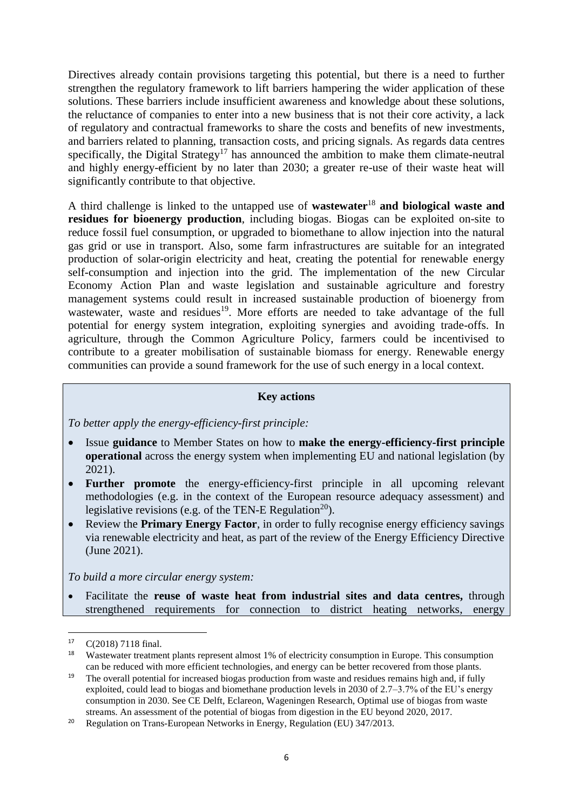Directives already contain provisions targeting this potential, but there is a need to further strengthen the regulatory framework to lift barriers hampering the wider application of these solutions. These barriers include insufficient awareness and knowledge about these solutions, the reluctance of companies to enter into a new business that is not their core activity, a lack of regulatory and contractual frameworks to share the costs and benefits of new investments, and barriers related to planning, transaction costs, and pricing signals. As regards data centres specifically, the Digital Strategy<sup>17</sup> has announced the ambition to make them climate-neutral and highly energy-efficient by no later than 2030; a greater re-use of their waste heat will significantly contribute to that objective.

A third challenge is linked to the untapped use of **wastewater**<sup>18</sup> **and biological waste and residues for bioenergy production**, including biogas. Biogas can be exploited on-site to reduce fossil fuel consumption, or upgraded to biomethane to allow injection into the natural gas grid or use in transport. Also, some farm infrastructures are suitable for an integrated production of solar-origin electricity and heat, creating the potential for renewable energy self-consumption and injection into the grid. The implementation of the new Circular Economy Action Plan and waste legislation and sustainable agriculture and forestry management systems could result in increased sustainable production of bioenergy from wastewater, waste and residues<sup>19</sup>. More efforts are needed to take advantage of the full potential for energy system integration, exploiting synergies and avoiding trade-offs. In agriculture, through the Common Agriculture Policy, farmers could be incentivised to contribute to a greater mobilisation of sustainable biomass for energy. Renewable energy communities can provide a sound framework for the use of such energy in a local context.

### **Key actions**

*To better apply the energy-efficiency-first principle:*

- Issue **guidance** to Member States on how to **make the energy-efficiency-first principle operational** across the energy system when implementing EU and national legislation (by 2021).
- **Further promote** the energy-efficiency-first principle in all upcoming relevant methodologies (e.g. in the context of the European resource adequacy assessment) and legislative revisions (e.g. of the TEN-E Regulation<sup>20</sup>).
- Review the **Primary Energy Factor**, in order to fully recognise energy efficiency savings via renewable electricity and heat, as part of the review of the Energy Efficiency Directive (June 2021).

*To build a more circular energy system:*

 Facilitate the **reuse of waste heat from industrial sites and data centres,** through strengthened requirements for connection to district heating networks, energy

<sup>17</sup> C(2018) 7118 final.

<sup>&</sup>lt;sup>18</sup> Wastewater treatment plants represent almost 1% of electricity consumption in Europe. This consumption can be reduced with more efficient technologies, and energy can be better recovered from those plants.

<sup>&</sup>lt;sup>19</sup> The overall potential for increased biogas production from waste and residues remains high and, if fully exploited, could lead to biogas and biomethane production levels in 2030 of 2.7–3.7% of the EU's energy consumption in 2030. See CE Delft, Eclareon, Wageningen Research, Optimal use of biogas from waste streams. An assessment of the potential of biogas from digestion in the EU beyond 2020, 2017.

<sup>&</sup>lt;sup>20</sup> Regulation on Trans-European Networks in Energy, Regulation (EU) 347/2013.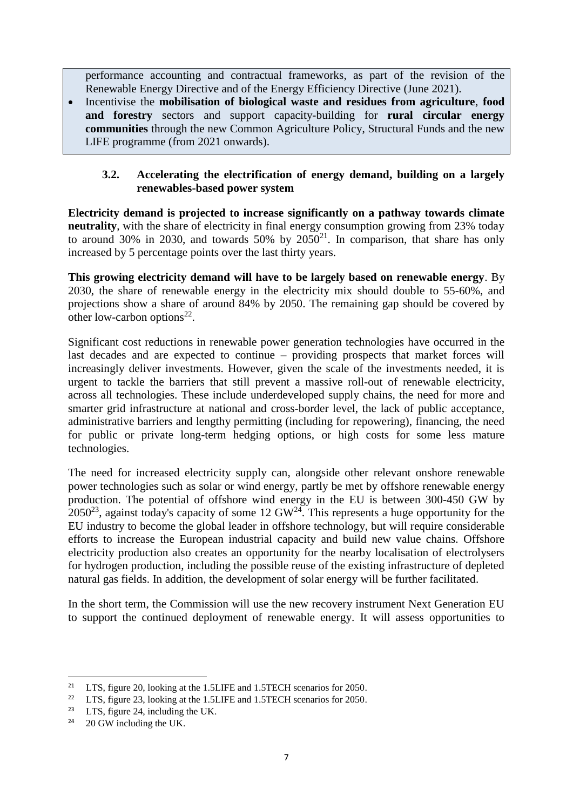performance accounting and contractual frameworks, as part of the revision of the Renewable Energy Directive and of the Energy Efficiency Directive (June 2021).

 Incentivise the **mobilisation of biological waste and residues from agriculture**, **food and forestry** sectors and support capacity-building for **rural circular energy communities** through the new Common Agriculture Policy, Structural Funds and the new LIFE programme (from 2021 onwards).

### **3.2. Accelerating the electrification of energy demand, building on a largely renewables-based power system**

**Electricity demand is projected to increase significantly on a pathway towards climate neutrality**, with the share of electricity in final energy consumption growing from 23% today to around 30% in 2030, and towards  $50\%$  by  $2050^{21}$ . In comparison, that share has only increased by 5 percentage points over the last thirty years.

**This growing electricity demand will have to be largely based on renewable energy**. By 2030, the share of renewable energy in the electricity mix should double to 55-60%, and projections show a share of around 84% by 2050. The remaining gap should be covered by other low-carbon options $^{22}$ .

Significant cost reductions in renewable power generation technologies have occurred in the last decades and are expected to continue – providing prospects that market forces will increasingly deliver investments. However, given the scale of the investments needed, it is urgent to tackle the barriers that still prevent a massive roll-out of renewable electricity, across all technologies. These include underdeveloped supply chains, the need for more and smarter grid infrastructure at national and cross-border level, the lack of public acceptance, administrative barriers and lengthy permitting (including for repowering), financing, the need for public or private long-term hedging options, or high costs for some less mature technologies.

The need for increased electricity supply can, alongside other relevant onshore renewable power technologies such as solar or wind energy, partly be met by offshore renewable energy production. The potential of offshore wind energy in the EU is between 300-450 GW by  $2050^{23}$ , against today's capacity of some 12 GW<sup>24</sup>. This represents a huge opportunity for the EU industry to become the global leader in offshore technology, but will require considerable efforts to increase the European industrial capacity and build new value chains. Offshore electricity production also creates an opportunity for the nearby localisation of electrolysers for hydrogen production, including the possible reuse of the existing infrastructure of depleted natural gas fields. In addition, the development of solar energy will be further facilitated.

In the short term, the Commission will use the new recovery instrument Next Generation EU to support the continued deployment of renewable energy. It will assess opportunities to

<sup>&</sup>lt;sup>21</sup> LTS, figure 20, looking at the 1.5LIFE and 1.5TECH scenarios for 2050.

<sup>&</sup>lt;sup>22</sup> LTS, figure 23, looking at the 1.5LIFE and 1.5TECH scenarios for 2050.<br><sup>23</sup> LTS, figure 24, including the LIK

LTS, figure 24, including the UK.

<sup>&</sup>lt;sup>24</sup> 20 GW including the UK.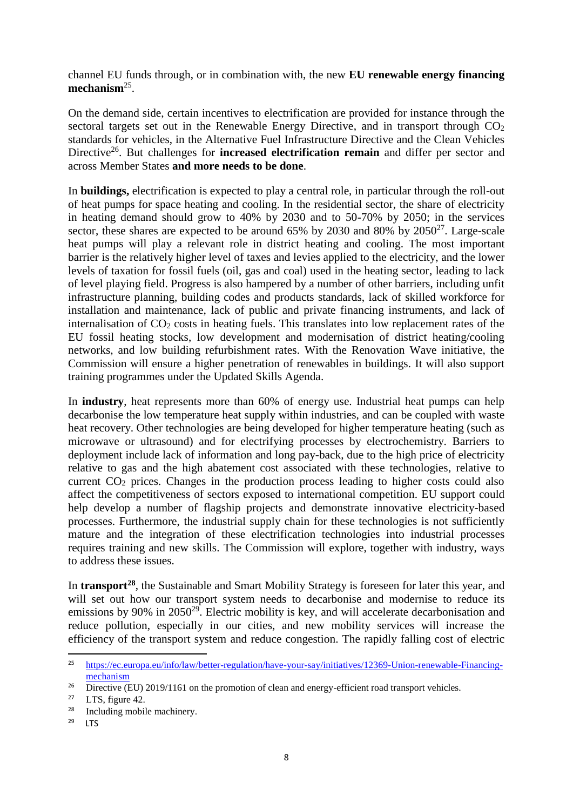channel EU funds through, or in combination with, the new **EU renewable energy financing**  mechanism<sup>25</sup>.

On the demand side, certain incentives to electrification are provided for instance through the sectoral targets set out in the Renewable Energy Directive, and in transport through  $CO<sub>2</sub>$ standards for vehicles, in the Alternative Fuel Infrastructure Directive and the Clean Vehicles Directive<sup>26</sup>. But challenges for **increased electrification remain** and differ per sector and across Member States **and more needs to be done**.

In **buildings,** electrification is expected to play a central role, in particular through the roll-out of heat pumps for space heating and cooling. In the residential sector, the share of electricity in heating demand should grow to 40% by 2030 and to 50-70% by 2050; in the services sector, these shares are expected to be around  $65\%$  by 2030 and 80% by 2050<sup>27</sup>. Large-scale heat pumps will play a relevant role in district heating and cooling. The most important barrier is the relatively higher level of taxes and levies applied to the electricity, and the lower levels of taxation for fossil fuels (oil, gas and coal) used in the heating sector, leading to lack of level playing field. Progress is also hampered by a number of other barriers, including unfit infrastructure planning, building codes and products standards, lack of skilled workforce for installation and maintenance, lack of public and private financing instruments, and lack of internalisation of  $CO<sub>2</sub> \cos t$  in heating fuels. This translates into low replacement rates of the EU fossil heating stocks, low development and modernisation of district heating/cooling networks, and low building refurbishment rates. With the Renovation Wave initiative, the Commission will ensure a higher penetration of renewables in buildings. It will also support training programmes under the Updated Skills Agenda.

In **industry**, heat represents more than 60% of energy use. Industrial heat pumps can help decarbonise the low temperature heat supply within industries, and can be coupled with waste heat recovery. Other technologies are being developed for higher temperature heating (such as microwave or ultrasound) and for electrifying processes by electrochemistry. Barriers to deployment include lack of information and long pay-back, due to the high price of electricity relative to gas and the high abatement cost associated with these technologies, relative to current  $CO<sub>2</sub>$  prices. Changes in the production process leading to higher costs could also affect the competitiveness of sectors exposed to international competition. EU support could help develop a number of flagship projects and demonstrate innovative electricity-based processes. Furthermore, the industrial supply chain for these technologies is not sufficiently mature and the integration of these electrification technologies into industrial processes requires training and new skills. The Commission will explore, together with industry, ways to address these issues.

In **transport<sup>28</sup>** , the Sustainable and Smart Mobility Strategy is foreseen for later this year, and will set out how our transport system needs to decarbonise and modernise to reduce its emissions by 90% in  $2050^{29}$ . Electric mobility is key, and will accelerate decarbonisation and reduce pollution, especially in our cities, and new mobility services will increase the efficiency of the transport system and reduce congestion. The rapidly falling cost of electric

 $25$ <sup>25</sup> [https://ec.europa.eu/info/law/better-regulation/have-your-say/initiatives/12369-Union-renewable-Financing](https://ec.europa.eu/info/law/better-regulation/have-your-say/initiatives/12369-Union-renewable-Financing-mechanism)[mechanism](https://ec.europa.eu/info/law/better-regulation/have-your-say/initiatives/12369-Union-renewable-Financing-mechanism)

<sup>&</sup>lt;sup>26</sup> Directive (EU) 2019/1161 on the promotion of clean and energy-efficient road transport vehicles.

<sup>&</sup>lt;sup>27</sup> LTS, figure 42.<br><sup>28</sup> Including mobil

Including mobile machinery.

<sup>29</sup> LTS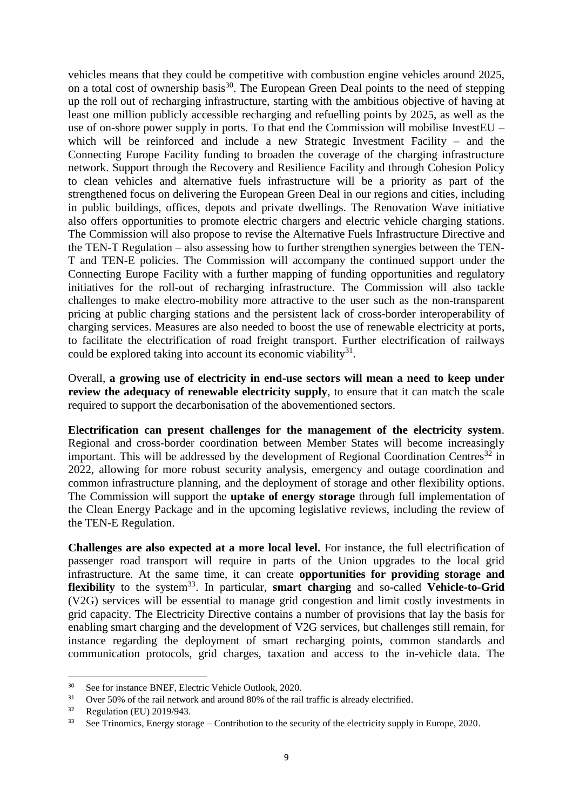vehicles means that they could be competitive with combustion engine vehicles around 2025, on a total cost of ownership basis<sup>30</sup>. The European Green Deal points to the need of stepping up the roll out of recharging infrastructure, starting with the ambitious objective of having at least one million publicly accessible recharging and refuelling points by 2025, as well as the use of on-shore power supply in ports. To that end the Commission will mobilise InvestEU – which will be reinforced and include a new Strategic Investment Facility – and the Connecting Europe Facility funding to broaden the coverage of the charging infrastructure network. Support through the Recovery and Resilience Facility and through Cohesion Policy to clean vehicles and alternative fuels infrastructure will be a priority as part of the strengthened focus on delivering the European Green Deal in our regions and cities, including in public buildings, offices, depots and private dwellings. The Renovation Wave initiative also offers opportunities to promote electric chargers and electric vehicle charging stations. The Commission will also propose to revise the Alternative Fuels Infrastructure Directive and the TEN-T Regulation – also assessing how to further strengthen synergies between the TEN-T and TEN-E policies. The Commission will accompany the continued support under the Connecting Europe Facility with a further mapping of funding opportunities and regulatory initiatives for the roll-out of recharging infrastructure. The Commission will also tackle challenges to make electro-mobility more attractive to the user such as the non-transparent pricing at public charging stations and the persistent lack of cross-border interoperability of charging services. Measures are also needed to boost the use of renewable electricity at ports, to facilitate the electrification of road freight transport. Further electrification of railways could be explored taking into account its economic viability<sup>31</sup>.

Overall, **a growing use of electricity in end-use sectors will mean a need to keep under review the adequacy of renewable electricity supply**, to ensure that it can match the scale required to support the decarbonisation of the abovementioned sectors.

**Electrification can present challenges for the management of the electricity system**. Regional and cross-border coordination between Member States will become increasingly important. This will be addressed by the development of Regional Coordination Centres<sup>32</sup> in 2022, allowing for more robust security analysis, emergency and outage coordination and common infrastructure planning, and the deployment of storage and other flexibility options. The Commission will support the **uptake of energy storage** through full implementation of the Clean Energy Package and in the upcoming legislative reviews, including the review of the TEN-E Regulation.

**Challenges are also expected at a more local level.** For instance, the full electrification of passenger road transport will require in parts of the Union upgrades to the local grid infrastructure. At the same time, it can create **opportunities for providing storage and flexibility** to the system<sup>33</sup>. In particular, **smart charging** and so-called **Vehicle-to-Grid** (V2G) services will be essential to manage grid congestion and limit costly investments in grid capacity. The Electricity Directive contains a number of provisions that lay the basis for enabling smart charging and the development of V2G services, but challenges still remain, for instance regarding the deployment of smart recharging points, common standards and communication protocols, grid charges, taxation and access to the in-vehicle data. The

<sup>30</sup> See for instance BNEF, Electric Vehicle Outlook, 2020.

<sup>&</sup>lt;sup>31</sup> Over 50% of the rail network and around 80% of the rail traffic is already electrified.<br><sup>32</sup> Begylation (EU) 2010/042

<sup>32</sup> Regulation (EU) 2019/943.

 $33$  See Trinomics, Energy storage – Contribution to the security of the electricity supply in Europe, 2020.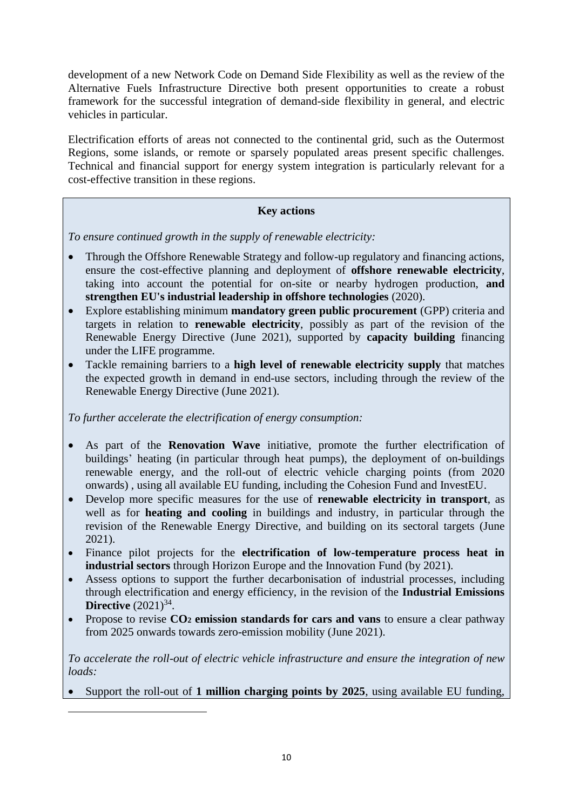development of a new Network Code on Demand Side Flexibility as well as the review of the Alternative Fuels Infrastructure Directive both present opportunities to create a robust framework for the successful integration of demand-side flexibility in general, and electric vehicles in particular.

Electrification efforts of areas not connected to the continental grid, such as the Outermost Regions, some islands, or remote or sparsely populated areas present specific challenges. Technical and financial support for energy system integration is particularly relevant for a cost-effective transition in these regions.

### **Key actions**

*To ensure continued growth in the supply of renewable electricity:*

- Through the Offshore Renewable Strategy and follow-up regulatory and financing actions, ensure the cost-effective planning and deployment of **offshore renewable electricity**, taking into account the potential for on-site or nearby hydrogen production, **and strengthen EU's industrial leadership in offshore technologies** (2020).
- Explore establishing minimum **mandatory green public procurement** (GPP) criteria and targets in relation to **renewable electricity**, possibly as part of the revision of the Renewable Energy Directive (June 2021), supported by **capacity building** financing under the LIFE programme.
- Tackle remaining barriers to a **high level of renewable electricity supply** that matches the expected growth in demand in end-use sectors, including through the review of the Renewable Energy Directive (June 2021).

*To further accelerate the electrification of energy consumption:*

1

- As part of the **Renovation Wave** initiative, promote the further electrification of buildings' heating (in particular through heat pumps), the deployment of on-buildings renewable energy, and the roll-out of electric vehicle charging points (from 2020 onwards) , using all available EU funding, including the Cohesion Fund and InvestEU.
- Develop more specific measures for the use of **renewable electricity in transport**, as well as for **heating and cooling** in buildings and industry, in particular through the revision of the Renewable Energy Directive, and building on its sectoral targets (June 2021).
- Finance pilot projects for the **electrification of low-temperature process heat in industrial sectors** through Horizon Europe and the Innovation Fund (by 2021).
- Assess options to support the further decarbonisation of industrial processes, including through electrification and energy efficiency, in the revision of the **Industrial Emissions Directive**  $(2021)^{34}$ .
- Propose to revise  $CO<sub>2</sub>$  emission standards for cars and vans to ensure a clear pathway from 2025 onwards towards zero-emission mobility (June 2021).

*To accelerate the roll-out of electric vehicle infrastructure and ensure the integration of new loads:*

Support the roll-out of **1 million charging points by 2025**, using available EU funding,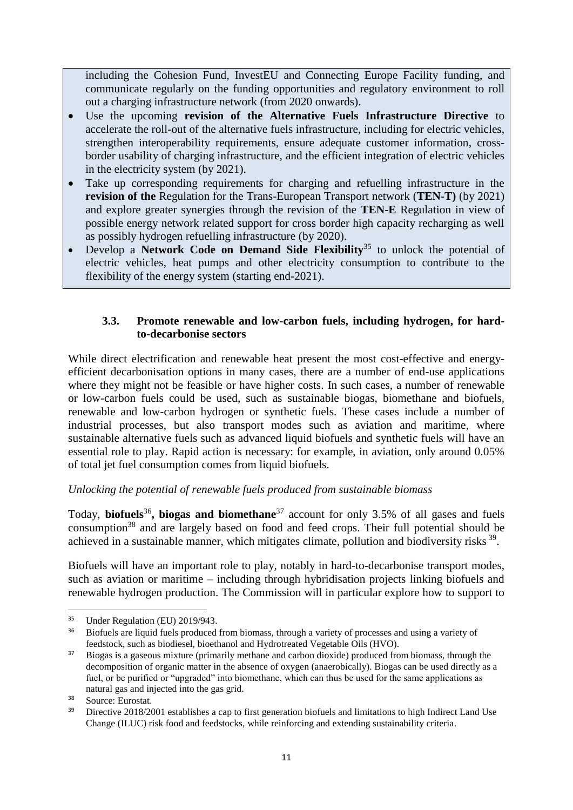including the Cohesion Fund, InvestEU and Connecting Europe Facility funding, and communicate regularly on the funding opportunities and regulatory environment to roll out a charging infrastructure network (from 2020 onwards).

- Use the upcoming **revision of the Alternative Fuels Infrastructure Directive** to accelerate the roll-out of the alternative fuels infrastructure, including for electric vehicles, strengthen interoperability requirements, ensure adequate customer information, crossborder usability of charging infrastructure, and the efficient integration of electric vehicles in the electricity system (by 2021).
- Take up corresponding requirements for charging and refuelling infrastructure in the **revision of the** Regulation for the Trans-European Transport network (**TEN-T)** (by 2021) and explore greater synergies through the revision of the **TEN-E** Regulation in view of possible energy network related support for cross border high capacity recharging as well as possibly hydrogen refuelling infrastructure (by 2020).
- Develop a **Network Code on Demand Side Flexibility**<sup>35</sup> to unlock the potential of electric vehicles, heat pumps and other electricity consumption to contribute to the flexibility of the energy system (starting end-2021).

## **3.3. Promote renewable and low-carbon fuels, including hydrogen, for hardto-decarbonise sectors**

While direct electrification and renewable heat present the most cost-effective and energyefficient decarbonisation options in many cases, there are a number of end-use applications where they might not be feasible or have higher costs. In such cases, a number of renewable or low-carbon fuels could be used, such as sustainable biogas, biomethane and biofuels, renewable and low-carbon hydrogen or synthetic fuels. These cases include a number of industrial processes, but also transport modes such as aviation and maritime, where sustainable alternative fuels such as advanced liquid biofuels and synthetic fuels will have an essential role to play. Rapid action is necessary: for example, in aviation, only around 0.05% of total jet fuel consumption comes from liquid biofuels.

# *Unlocking the potential of renewable fuels produced from sustainable biomass*

Today, **biofuels**<sup>36</sup> **, biogas and biomethane**<sup>37</sup> account for only 3.5% of all gases and fuels consumption<sup>38</sup> and are largely based on food and feed crops. Their full potential should be achieved in a sustainable manner, which mitigates climate, pollution and biodiversity risks <sup>39</sup>.

Biofuels will have an important role to play, notably in hard-to-decarbonise transport modes, such as aviation or maritime – including through hybridisation projects linking biofuels and renewable hydrogen production. The Commission will in particular explore how to support to

**<sup>.</sup>** <sup>35</sup> Under Regulation (EU) 2019/943.

<sup>&</sup>lt;sup>36</sup> Biofuels are liquid fuels produced from biomass, through a variety of processes and using a variety of feedstock, such as biodiesel, bioethanol and Hydrotreated Vegetable Oils (HVO).

<sup>&</sup>lt;sup>37</sup> Biogas is a gaseous mixture (primarily methane and carbon dioxide) produced from biomass, through the decomposition of organic matter in the absence of oxygen (anaerobically). Biogas can be used directly as a fuel, or be purified or "upgraded" into biomethane, which can thus be used for the same applications as natural gas and injected into the gas grid.

<sup>&</sup>lt;sup>38</sup> Source: Eurostat.

<sup>39</sup> Directive 2018/2001 establishes a cap to first generation biofuels and limitations to high Indirect Land Use Change (ILUC) risk food and feedstocks, while reinforcing and extending sustainability criteria.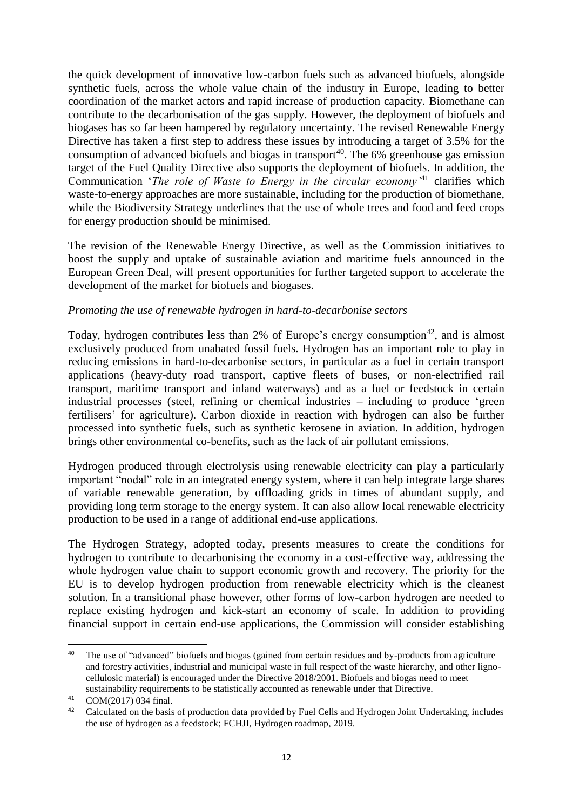the quick development of innovative low-carbon fuels such as advanced biofuels, alongside synthetic fuels, across the whole value chain of the industry in Europe, leading to better coordination of the market actors and rapid increase of production capacity. Biomethane can contribute to the decarbonisation of the gas supply. However, the deployment of biofuels and biogases has so far been hampered by regulatory uncertainty. The revised Renewable Energy Directive has taken a first step to address these issues by introducing a target of 3.5% for the consumption of advanced biofuels and biogas in transport<sup>40</sup>. The  $6\%$  greenhouse gas emission target of the Fuel Quality Directive also supports the deployment of biofuels. In addition, the Communication '*The role of Waste to Energy in the circular economy'*<sup>41</sup> clarifies which waste-to-energy approaches are more sustainable, including for the production of biomethane, while the Biodiversity Strategy underlines that the use of whole trees and food and feed crops for energy production should be minimised.

The revision of the Renewable Energy Directive, as well as the Commission initiatives to boost the supply and uptake of sustainable aviation and maritime fuels announced in the European Green Deal, will present opportunities for further targeted support to accelerate the development of the market for biofuels and biogases.

#### *Promoting the use of renewable hydrogen in hard-to-decarbonise sectors*

Today, hydrogen contributes less than 2% of Europe's energy consumption<sup>42</sup>, and is almost exclusively produced from unabated fossil fuels. Hydrogen has an important role to play in reducing emissions in hard-to-decarbonise sectors, in particular as a fuel in certain transport applications (heavy-duty road transport, captive fleets of buses, or non-electrified rail transport, maritime transport and inland waterways) and as a fuel or feedstock in certain industrial processes (steel, refining or chemical industries – including to produce 'green fertilisers' for agriculture). Carbon dioxide in reaction with hydrogen can also be further processed into synthetic fuels, such as synthetic kerosene in aviation. In addition, hydrogen brings other environmental co-benefits, such as the lack of air pollutant emissions.

Hydrogen produced through electrolysis using renewable electricity can play a particularly important "nodal" role in an integrated energy system, where it can help integrate large shares of variable renewable generation, by offloading grids in times of abundant supply, and providing long term storage to the energy system. It can also allow local renewable electricity production to be used in a range of additional end-use applications.

The Hydrogen Strategy, adopted today, presents measures to create the conditions for hydrogen to contribute to decarbonising the economy in a cost-effective way, addressing the whole hydrogen value chain to support economic growth and recovery. The priority for the EU is to develop hydrogen production from renewable electricity which is the cleanest solution. In a transitional phase however, other forms of low-carbon hydrogen are needed to replace existing hydrogen and kick-start an economy of scale. In addition to providing financial support in certain end-use applications, the Commission will consider establishing

 $\overline{a}$ 

<sup>&</sup>lt;sup>40</sup> The use of "advanced" biofuels and biogas (gained from certain residues and by-products from agriculture and forestry activities, industrial and municipal waste in full respect of the waste hierarchy, and other lignocellulosic material) is encouraged under the Directive 2018/2001. Biofuels and biogas need to meet sustainability requirements to be statistically accounted as renewable under that Directive.

<sup>41</sup> COM(2017) 034 final.

<sup>&</sup>lt;sup>42</sup> Calculated on the basis of production data provided by Fuel Cells and Hydrogen Joint Undertaking, includes the use of hydrogen as a feedstock; FCHJI, Hydrogen roadmap, 2019.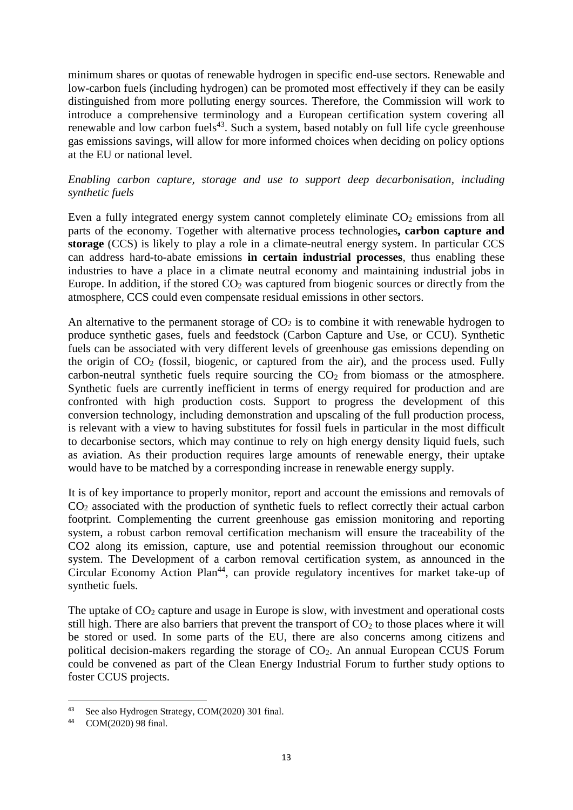minimum shares or quotas of renewable hydrogen in specific end-use sectors. Renewable and low-carbon fuels (including hydrogen) can be promoted most effectively if they can be easily distinguished from more polluting energy sources. Therefore, the Commission will work to introduce a comprehensive terminology and a European certification system covering all renewable and low carbon fuels<sup>43</sup>. Such a system, based notably on full life cycle greenhouse gas emissions savings, will allow for more informed choices when deciding on policy options at the EU or national level.

### *Enabling carbon capture, storage and use to support deep decarbonisation, including synthetic fuels*

Even a fully integrated energy system cannot completely eliminate  $CO<sub>2</sub>$  emissions from all parts of the economy. Together with alternative process technologies**, carbon capture and storage** (CCS) is likely to play a role in a climate-neutral energy system. In particular CCS can address hard-to-abate emissions **in certain industrial processes**, thus enabling these industries to have a place in a climate neutral economy and maintaining industrial jobs in Europe. In addition, if the stored  $CO<sub>2</sub>$  was captured from biogenic sources or directly from the atmosphere, CCS could even compensate residual emissions in other sectors.

An alternative to the permanent storage of  $CO<sub>2</sub>$  is to combine it with renewable hydrogen to produce synthetic gases, fuels and feedstock (Carbon Capture and Use, or CCU). Synthetic fuels can be associated with very different levels of greenhouse gas emissions depending on the origin of  $CO<sub>2</sub>$  (fossil, biogenic, or captured from the air), and the process used. Fully carbon-neutral synthetic fuels require sourcing the  $CO<sub>2</sub>$  from biomass or the atmosphere. Synthetic fuels are currently inefficient in terms of energy required for production and are confronted with high production costs. Support to progress the development of this conversion technology, including demonstration and upscaling of the full production process, is relevant with a view to having substitutes for fossil fuels in particular in the most difficult to decarbonise sectors, which may continue to rely on high energy density liquid fuels, such as aviation. As their production requires large amounts of renewable energy, their uptake would have to be matched by a corresponding increase in renewable energy supply.

It is of key importance to properly monitor, report and account the emissions and removals of CO<sup>2</sup> associated with the production of synthetic fuels to reflect correctly their actual carbon footprint. Complementing the current greenhouse gas emission monitoring and reporting system, a robust carbon removal certification mechanism will ensure the traceability of the CO2 along its emission, capture, use and potential reemission throughout our economic system. The Development of a carbon removal certification system, as announced in the Circular Economy Action Plan<sup>44</sup>, can provide regulatory incentives for market take-up of synthetic fuels.

The uptake of  $CO<sub>2</sub>$  capture and usage in Europe is slow, with investment and operational costs still high. There are also barriers that prevent the transport of  $CO<sub>2</sub>$  to those places where it will be stored or used. In some parts of the EU, there are also concerns among citizens and political decision-makers regarding the storage of  $CO<sub>2</sub>$ . An annual European CCUS Forum could be convened as part of the Clean Energy Industrial Forum to further study options to foster CCUS projects.

<sup>43</sup> See also Hydrogen Strategy, COM(2020) 301 final.

<sup>44</sup> COM(2020) 98 final.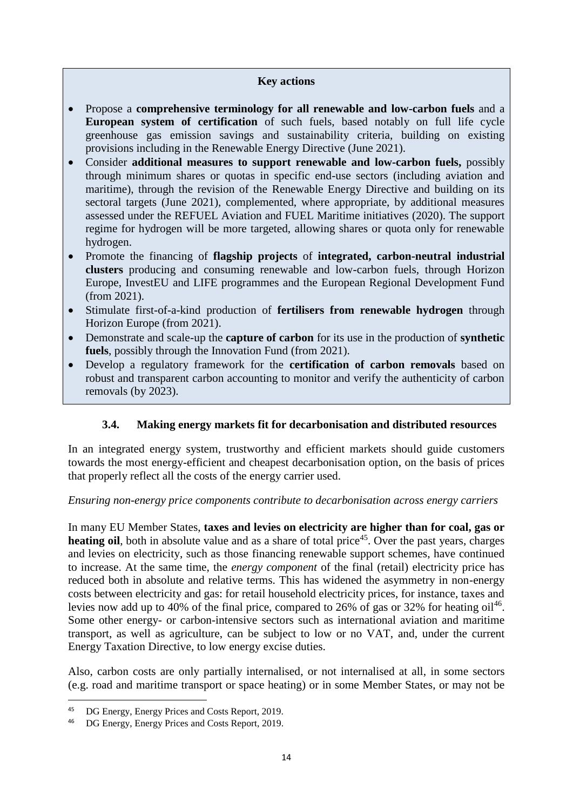#### **Key actions**

- Propose a **comprehensive terminology for all renewable and low-carbon fuels** and a **European system of certification** of such fuels, based notably on full life cycle greenhouse gas emission savings and sustainability criteria, building on existing provisions including in the Renewable Energy Directive (June 2021).
- Consider **additional measures to support renewable and low-carbon fuels,** possibly through minimum shares or quotas in specific end-use sectors (including aviation and maritime), through the revision of the Renewable Energy Directive and building on its sectoral targets (June 2021), complemented, where appropriate, by additional measures assessed under the REFUEL Aviation and FUEL Maritime initiatives (2020). The support regime for hydrogen will be more targeted, allowing shares or quota only for renewable hydrogen.
- Promote the financing of **flagship projects** of **integrated, carbon-neutral industrial clusters** producing and consuming renewable and low-carbon fuels, through Horizon Europe, InvestEU and LIFE programmes and the European Regional Development Fund (from 2021).
- Stimulate first-of-a-kind production of **fertilisers from renewable hydrogen** through Horizon Europe (from 2021).
- Demonstrate and scale-up the **capture of carbon** for its use in the production of **synthetic fuels**, possibly through the Innovation Fund (from 2021).
- Develop a regulatory framework for the **certification of carbon removals** based on robust and transparent carbon accounting to monitor and verify the authenticity of carbon removals (by 2023).

### **3.4. Making energy markets fit for decarbonisation and distributed resources**

In an integrated energy system, trustworthy and efficient markets should guide customers towards the most energy-efficient and cheapest decarbonisation option, on the basis of prices that properly reflect all the costs of the energy carrier used.

### *Ensuring non-energy price components contribute to decarbonisation across energy carriers*

In many EU Member States, **taxes and levies on electricity are higher than for coal, gas or**  heating oil, both in absolute value and as a share of total price<sup>45</sup>. Over the past years, charges and levies on electricity, such as those financing renewable support schemes, have continued to increase. At the same time, the *energy component* of the final (retail) electricity price has reduced both in absolute and relative terms. This has widened the asymmetry in non-energy costs between electricity and gas: for retail household electricity prices, for instance, taxes and levies now add up to 40% of the final price, compared to 26% of gas or 32% for heating  $\text{oil}^{46}$ . Some other energy- or carbon-intensive sectors such as international aviation and maritime transport, as well as agriculture, can be subject to low or no VAT, and, under the current Energy Taxation Directive, to low energy excise duties.

Also, carbon costs are only partially internalised, or not internalised at all, in some sectors (e.g. road and maritime transport or space heating) or in some Member States, or may not be

<sup>&</sup>lt;sup>45</sup> DG Energy, Energy Prices and Costs Report, 2019.

<sup>46</sup> DG Energy, Energy Prices and Costs Report, 2019.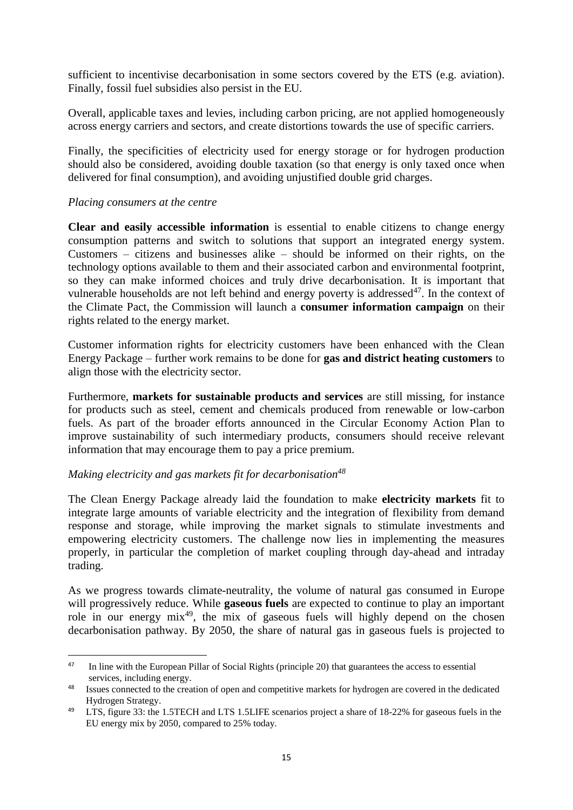sufficient to incentivise decarbonisation in some sectors covered by the ETS (e.g. aviation). Finally, fossil fuel subsidies also persist in the EU.

Overall, applicable taxes and levies, including carbon pricing, are not applied homogeneously across energy carriers and sectors, and create distortions towards the use of specific carriers.

Finally, the specificities of electricity used for energy storage or for hydrogen production should also be considered, avoiding double taxation (so that energy is only taxed once when delivered for final consumption), and avoiding unjustified double grid charges.

#### *Placing consumers at the centre*

1

**Clear and easily accessible information** is essential to enable citizens to change energy consumption patterns and switch to solutions that support an integrated energy system. Customers – citizens and businesses alike – should be informed on their rights, on the technology options available to them and their associated carbon and environmental footprint, so they can make informed choices and truly drive decarbonisation. It is important that vulnerable households are not left behind and energy poverty is addressed $47$ . In the context of the Climate Pact, the Commission will launch a **consumer information campaign** on their rights related to the energy market.

Customer information rights for electricity customers have been enhanced with the Clean Energy Package – further work remains to be done for **gas and district heating customers** to align those with the electricity sector.

Furthermore, **markets for sustainable products and services** are still missing, for instance for products such as steel, cement and chemicals produced from renewable or low-carbon fuels. As part of the broader efforts announced in the Circular Economy Action Plan to improve sustainability of such intermediary products, consumers should receive relevant information that may encourage them to pay a price premium.

#### *Making electricity and gas markets fit for decarbonisation<sup>48</sup>*

The Clean Energy Package already laid the foundation to make **electricity markets** fit to integrate large amounts of variable electricity and the integration of flexibility from demand response and storage, while improving the market signals to stimulate investments and empowering electricity customers. The challenge now lies in implementing the measures properly, in particular the completion of market coupling through day-ahead and intraday trading.

As we progress towards climate-neutrality, the volume of natural gas consumed in Europe will progressively reduce. While **gaseous fuels** are expected to continue to play an important role in our energy  $mix^{49}$ , the mix of gaseous fuels will highly depend on the chosen decarbonisation pathway. By 2050, the share of natural gas in gaseous fuels is projected to

<sup>&</sup>lt;sup>47</sup> In line with the European Pillar of Social Rights (principle 20) that guarantees the access to essential services, including energy.

<sup>&</sup>lt;sup>48</sup> Issues connected to the creation of open and competitive markets for hydrogen are covered in the dedicated Hydrogen Strategy.

<sup>&</sup>lt;sup>49</sup> LTS, figure 33: the 1.5TECH and LTS 1.5LIFE scenarios project a share of 18-22% for gaseous fuels in the EU energy mix by 2050, compared to 25% today.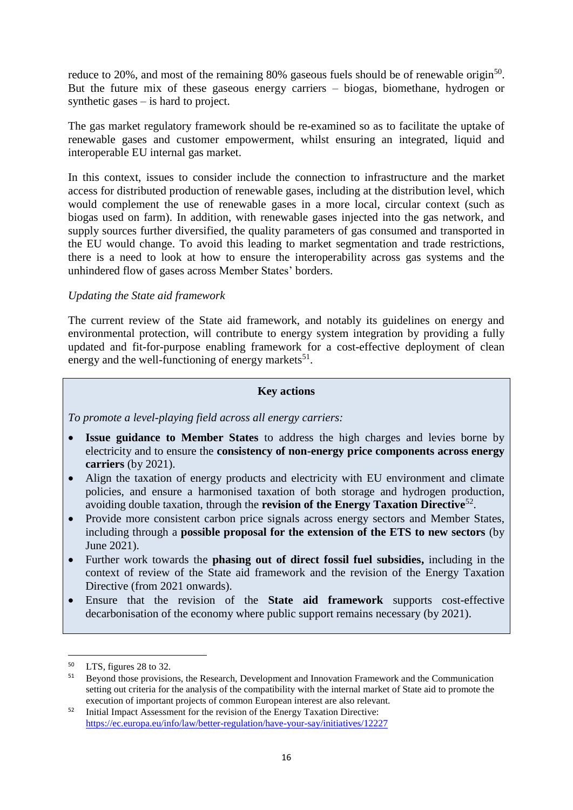reduce to 20%, and most of the remaining 80% gaseous fuels should be of renewable origin<sup>50</sup>. But the future mix of these gaseous energy carriers – biogas, biomethane, hydrogen or synthetic gases – is hard to project.

The gas market regulatory framework should be re-examined so as to facilitate the uptake of renewable gases and customer empowerment, whilst ensuring an integrated, liquid and interoperable EU internal gas market.

In this context, issues to consider include the connection to infrastructure and the market access for distributed production of renewable gases, including at the distribution level, which would complement the use of renewable gases in a more local, circular context (such as biogas used on farm). In addition, with renewable gases injected into the gas network, and supply sources further diversified, the quality parameters of gas consumed and transported in the EU would change. To avoid this leading to market segmentation and trade restrictions, there is a need to look at how to ensure the interoperability across gas systems and the unhindered flow of gases across Member States' borders.

### *Updating the State aid framework*

The current review of the State aid framework, and notably its guidelines on energy and environmental protection, will contribute to energy system integration by providing a fully updated and fit-for-purpose enabling framework for a cost-effective deployment of clean energy and the well-functioning of energy markets<sup>51</sup>.

#### **Key actions**

*To promote a level-playing field across all energy carriers:*

- **Issue guidance to Member States** to address the high charges and levies borne by electricity and to ensure the **consistency of non-energy price components across energy carriers** (by 2021).
- Align the taxation of energy products and electricity with EU environment and climate policies, and ensure a harmonised taxation of both storage and hydrogen production, avoiding double taxation, through the **revision of the Energy Taxation Directive**<sup>52</sup> .
- Provide more consistent carbon price signals across energy sectors and Member States, including through a **possible proposal for the extension of the ETS to new sectors** (by June 2021).
- Further work towards the **phasing out of direct fossil fuel subsidies,** including in the context of review of the State aid framework and the revision of the Energy Taxation Directive (from 2021 onwards).
- Ensure that the revision of the **State aid framework** supports cost-effective decarbonisation of the economy where public support remains necessary (by 2021).

1

<sup>50</sup> LTS, figures 28 to 32.

<sup>&</sup>lt;sup>51</sup> Beyond those provisions, the Research, Development and Innovation Framework and the Communication setting out criteria for the analysis of the compatibility with the internal market of State aid to promote the execution of important projects of common European interest are also relevant.

<sup>&</sup>lt;sup>52</sup> Initial Impact Assessment for the revision of the Energy Taxation Directive: <https://ec.europa.eu/info/law/better-regulation/have-your-say/initiatives/12227>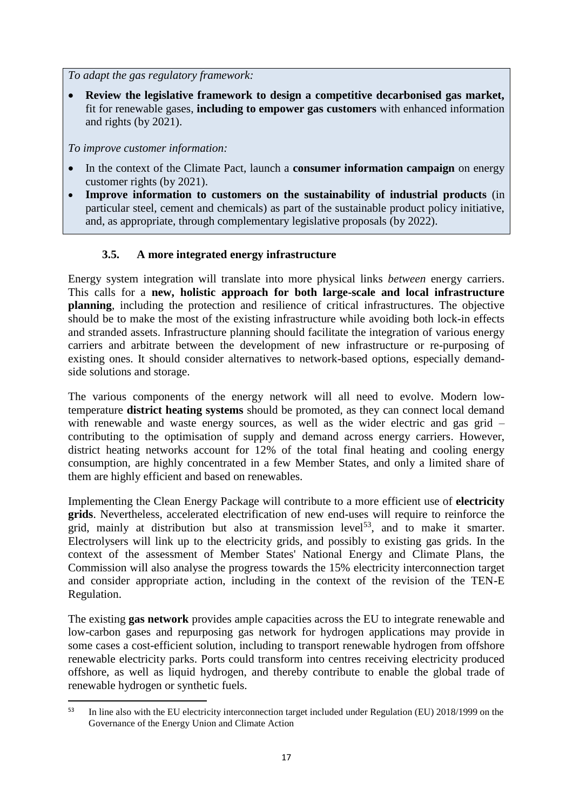*To adapt the gas regulatory framework:*

 **Review the legislative framework to design a competitive decarbonised gas market,** fit for renewable gases, **including to empower gas customers** with enhanced information and rights (by 2021).

*To improve customer information:*

**.** 

- In the context of the Climate Pact, launch a **consumer information campaign** on energy customer rights (by 2021).
- **Improve information to customers on the sustainability of industrial products** (in particular steel, cement and chemicals) as part of the sustainable product policy initiative, and, as appropriate, through complementary legislative proposals (by 2022).

# **3.5. A more integrated energy infrastructure**

Energy system integration will translate into more physical links *between* energy carriers. This calls for a **new, holistic approach for both large-scale and local infrastructure planning**, including the protection and resilience of critical infrastructures. The objective should be to make the most of the existing infrastructure while avoiding both lock-in effects and stranded assets. Infrastructure planning should facilitate the integration of various energy carriers and arbitrate between the development of new infrastructure or re-purposing of existing ones. It should consider alternatives to network-based options, especially demandside solutions and storage.

The various components of the energy network will all need to evolve. Modern lowtemperature **district heating systems** should be promoted, as they can connect local demand with renewable and waste energy sources, as well as the wider electric and gas grid – contributing to the optimisation of supply and demand across energy carriers. However, district heating networks account for 12% of the total final heating and cooling energy consumption, are highly concentrated in a few Member States, and only a limited share of them are highly efficient and based on renewables.

Implementing the Clean Energy Package will contribute to a more efficient use of **electricity grids**. Nevertheless, accelerated electrification of new end-uses will require to reinforce the grid, mainly at distribution but also at transmission level<sup>53</sup>, and to make it smarter. Electrolysers will link up to the electricity grids, and possibly to existing gas grids. In the context of the assessment of Member States' National Energy and Climate Plans, the Commission will also analyse the progress towards the 15% electricity interconnection target and consider appropriate action, including in the context of the revision of the TEN-E Regulation.

The existing **gas network** provides ample capacities across the EU to integrate renewable and low-carbon gases and repurposing gas network for hydrogen applications may provide in some cases a cost-efficient solution, including to transport renewable hydrogen from offshore renewable electricity parks. Ports could transform into centres receiving electricity produced offshore, as well as liquid hydrogen, and thereby contribute to enable the global trade of renewable hydrogen or synthetic fuels.

<sup>&</sup>lt;sup>53</sup> In line also with the EU electricity interconnection target included under Regulation (EU) 2018/1999 on the Governance of the Energy Union and Climate Action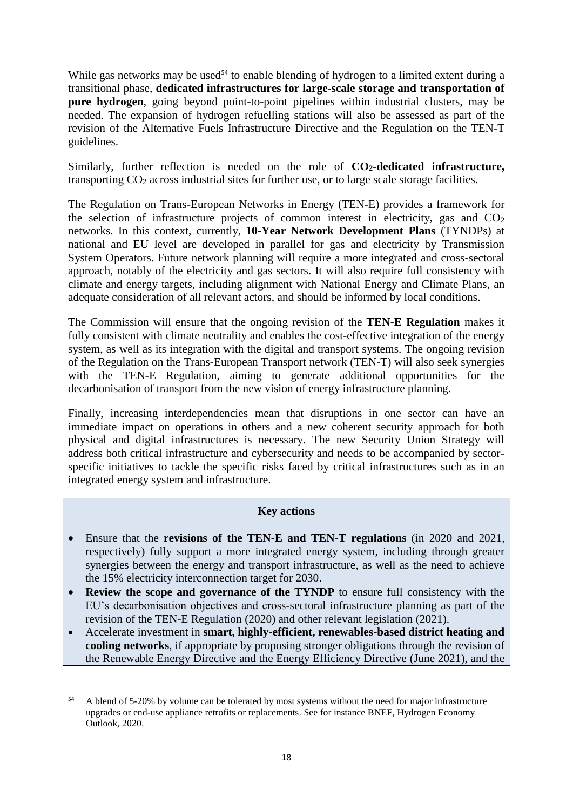While gas networks may be used<sup>54</sup> to enable blending of hydrogen to a limited extent during a transitional phase, **dedicated infrastructures for large-scale storage and transportation of pure hydrogen**, going beyond point-to-point pipelines within industrial clusters, may be needed. The expansion of hydrogen refuelling stations will also be assessed as part of the revision of the Alternative Fuels Infrastructure Directive and the Regulation on the TEN-T guidelines.

Similarly, further reflection is needed on the role of **CO2-dedicated infrastructure,**  transporting  $CO<sub>2</sub>$  across industrial sites for further use, or to large scale storage facilities.

The Regulation on Trans-European Networks in Energy (TEN-E) provides a framework for the selection of infrastructure projects of common interest in electricity, gas and  $CO<sub>2</sub>$ networks. In this context, currently, **10-Year Network Development Plans** (TYNDPs) at national and EU level are developed in parallel for gas and electricity by Transmission System Operators. Future network planning will require a more integrated and cross-sectoral approach, notably of the electricity and gas sectors. It will also require full consistency with climate and energy targets, including alignment with National Energy and Climate Plans, an adequate consideration of all relevant actors, and should be informed by local conditions.

The Commission will ensure that the ongoing revision of the **TEN-E Regulation** makes it fully consistent with climate neutrality and enables the cost-effective integration of the energy system, as well as its integration with the digital and transport systems. The ongoing revision of the Regulation on the Trans-European Transport network (TEN-T) will also seek synergies with the TEN-E Regulation, aiming to generate additional opportunities for the decarbonisation of transport from the new vision of energy infrastructure planning.

Finally, increasing interdependencies mean that disruptions in one sector can have an immediate impact on operations in others and a new coherent security approach for both physical and digital infrastructures is necessary. The new Security Union Strategy will address both critical infrastructure and cybersecurity and needs to be accompanied by sectorspecific initiatives to tackle the specific risks faced by critical infrastructures such as in an integrated energy system and infrastructure.

### **Key actions**

- Ensure that the **revisions of the TEN-E and TEN-T regulations** (in 2020 and 2021, respectively) fully support a more integrated energy system, including through greater synergies between the energy and transport infrastructure, as well as the need to achieve the 15% electricity interconnection target for 2030.
- **Review the scope and governance of the TYNDP** to ensure full consistency with the EU's decarbonisation objectives and cross-sectoral infrastructure planning as part of the revision of the TEN-E Regulation (2020) and other relevant legislation (2021).
- Accelerate investment in **smart, highly-efficient, renewables-based district heating and cooling networks**, if appropriate by proposing stronger obligations through the revision of the Renewable Energy Directive and the Energy Efficiency Directive (June 2021), and the

<sup>&</sup>lt;sup>54</sup> A blend of 5-20% by volume can be tolerated by most systems without the need for major infrastructure upgrades or end-use appliance retrofits or replacements. See for instance BNEF, Hydrogen Economy Outlook, 2020.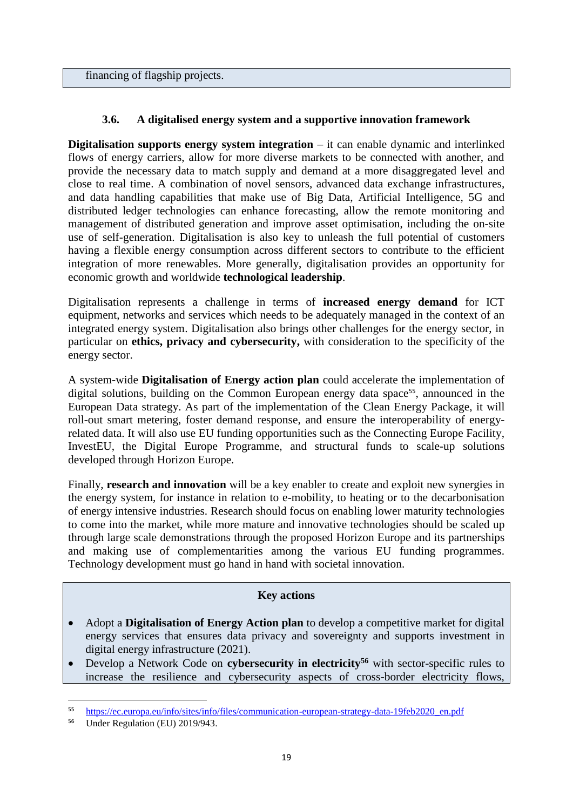financing of flagship projects.

## **3.6. A digitalised energy system and a supportive innovation framework**

**Digitalisation supports energy system integration** – it can enable dynamic and interlinked flows of energy carriers, allow for more diverse markets to be connected with another, and provide the necessary data to match supply and demand at a more disaggregated level and close to real time. A combination of novel sensors, advanced data exchange infrastructures, and data handling capabilities that make use of Big Data, Artificial Intelligence, 5G and distributed ledger technologies can enhance forecasting, allow the remote monitoring and management of distributed generation and improve asset optimisation, including the on-site use of self-generation. Digitalisation is also key to unleash the full potential of customers having a flexible energy consumption across different sectors to contribute to the efficient integration of more renewables. More generally, digitalisation provides an opportunity for economic growth and worldwide **technological leadership**.

Digitalisation represents a challenge in terms of **increased energy demand** for ICT equipment, networks and services which needs to be adequately managed in the context of an integrated energy system. Digitalisation also brings other challenges for the energy sector, in particular on **ethics, privacy and cybersecurity,** with consideration to the specificity of the energy sector.

A system-wide **Digitalisation of Energy action plan** could accelerate the implementation of digital solutions, building on the Common European energy data space<sup>55</sup>, announced in the European Data strategy. As part of the implementation of the Clean Energy Package, it will roll-out smart metering, foster demand response, and ensure the interoperability of energyrelated data. It will also use EU funding opportunities such as the Connecting Europe Facility, InvestEU, the Digital Europe Programme, and structural funds to scale-up solutions developed through Horizon Europe.

Finally, **research and innovation** will be a key enabler to create and exploit new synergies in the energy system, for instance in relation to e-mobility, to heating or to the decarbonisation of energy intensive industries. Research should focus on enabling lower maturity technologies to come into the market, while more mature and innovative technologies should be scaled up through large scale demonstrations through the proposed Horizon Europe and its partnerships and making use of complementarities among the various EU funding programmes. Technology development must go hand in hand with societal innovation.

### **Key actions**

- Adopt a **Digitalisation of Energy Action plan** to develop a competitive market for digital energy services that ensures data privacy and sovereignty and supports investment in digital energy infrastructure (2021).
- Develop a Network Code on **cybersecurity in electricity<sup>56</sup>** with sector-specific rules to increase the resilience and cybersecurity aspects of cross-border electricity flows,

<sup>55</sup> [https://ec.europa.eu/info/sites/info/files/communication-european-strategy-data-19feb2020\\_en.pdf](https://ec.europa.eu/info/sites/info/files/communication-european-strategy-data-19feb2020_en.pdf)

<sup>56</sup> Under Regulation (EU) 2019/943.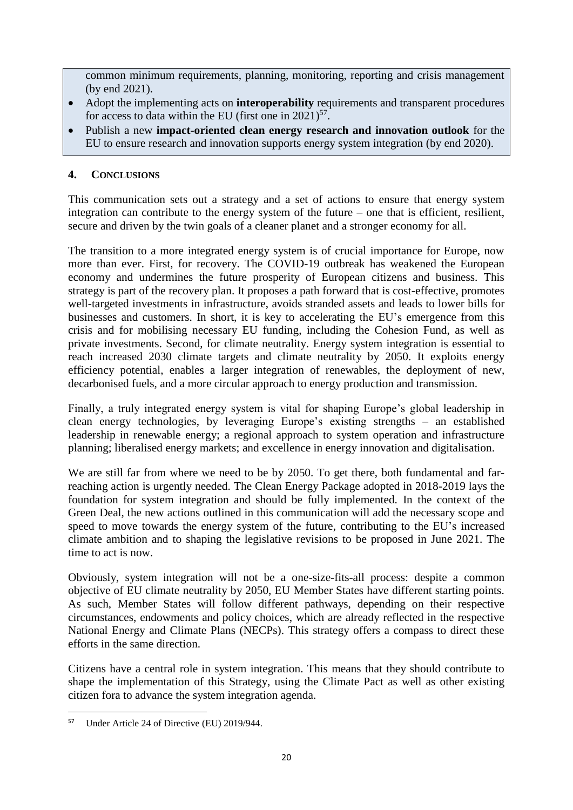common minimum requirements, planning, monitoring, reporting and crisis management (by end 2021).

- Adopt the implementing acts on **interoperability** requirements and transparent procedures for access to data within the EU (first one in  $2021$ )<sup>57</sup>.
- Publish a new **impact-oriented clean energy research and innovation outlook** for the EU to ensure research and innovation supports energy system integration (by end 2020).

### **4. CONCLUSIONS**

This communication sets out a strategy and a set of actions to ensure that energy system integration can contribute to the energy system of the future – one that is efficient, resilient, secure and driven by the twin goals of a cleaner planet and a stronger economy for all.

The transition to a more integrated energy system is of crucial importance for Europe, now more than ever. First, for recovery. The COVID-19 outbreak has weakened the European economy and undermines the future prosperity of European citizens and business. This strategy is part of the recovery plan. It proposes a path forward that is cost-effective, promotes well-targeted investments in infrastructure, avoids stranded assets and leads to lower bills for businesses and customers. In short, it is key to accelerating the EU's emergence from this crisis and for mobilising necessary EU funding, including the Cohesion Fund, as well as private investments. Second, for climate neutrality. Energy system integration is essential to reach increased 2030 climate targets and climate neutrality by 2050. It exploits energy efficiency potential, enables a larger integration of renewables, the deployment of new, decarbonised fuels, and a more circular approach to energy production and transmission.

Finally, a truly integrated energy system is vital for shaping Europe's global leadership in clean energy technologies, by leveraging Europe's existing strengths – an established leadership in renewable energy; a regional approach to system operation and infrastructure planning; liberalised energy markets; and excellence in energy innovation and digitalisation.

We are still far from where we need to be by 2050. To get there, both fundamental and farreaching action is urgently needed. The Clean Energy Package adopted in 2018-2019 lays the foundation for system integration and should be fully implemented. In the context of the Green Deal, the new actions outlined in this communication will add the necessary scope and speed to move towards the energy system of the future, contributing to the EU's increased climate ambition and to shaping the legislative revisions to be proposed in June 2021. The time to act is now.

Obviously, system integration will not be a one-size-fits-all process: despite a common objective of EU climate neutrality by 2050, EU Member States have different starting points. As such, Member States will follow different pathways, depending on their respective circumstances, endowments and policy choices, which are already reflected in the respective National Energy and Climate Plans (NECPs). This strategy offers a compass to direct these efforts in the same direction.

Citizens have a central role in system integration. This means that they should contribute to shape the implementation of this Strategy, using the Climate Pact as well as other existing citizen fora to advance the system integration agenda.

<sup>1</sup> <sup>57</sup> Under Article 24 of Directive (EU) 2019/944.